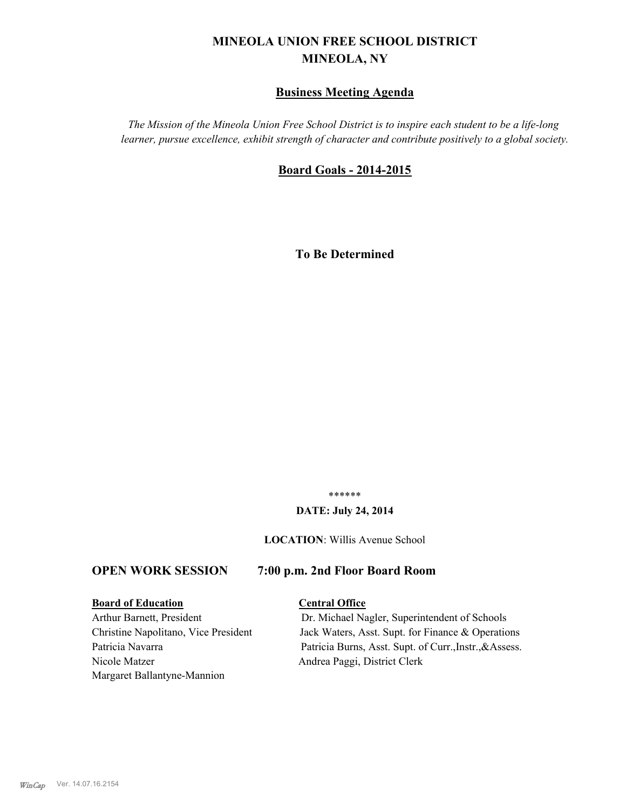# **MINEOLA UNION FREE SCHOOL DISTRICT MINEOLA, NY**

## **Business Meeting Agenda**

*The Mission of the Mineola Union Free School District is to inspire each student to be a life-long learner, pursue excellence, exhibit strength of character and contribute positively to a global society.*

## **Board Goals - 2014-2015**

**To Be Determined**

\*\*\*\*\*\*

### **DATE: July 24, 2014**

**LOCATION**: Willis Avenue School

## **OPEN WORK SESSION 7:00 p.m. 2nd Floor Board Room**

## **Board of Education Central Office**

Nicole Matzer Andrea Paggi, District Clerk Margaret Ballantyne-Mannion

Arthur Barnett, President Dr. Michael Nagler, Superintendent of Schools Christine Napolitano, Vice President Jack Waters, Asst. Supt. for Finance & Operations Patricia Navarra Patricia Burns, Asst. Supt. of Curr., Instr., & Assess.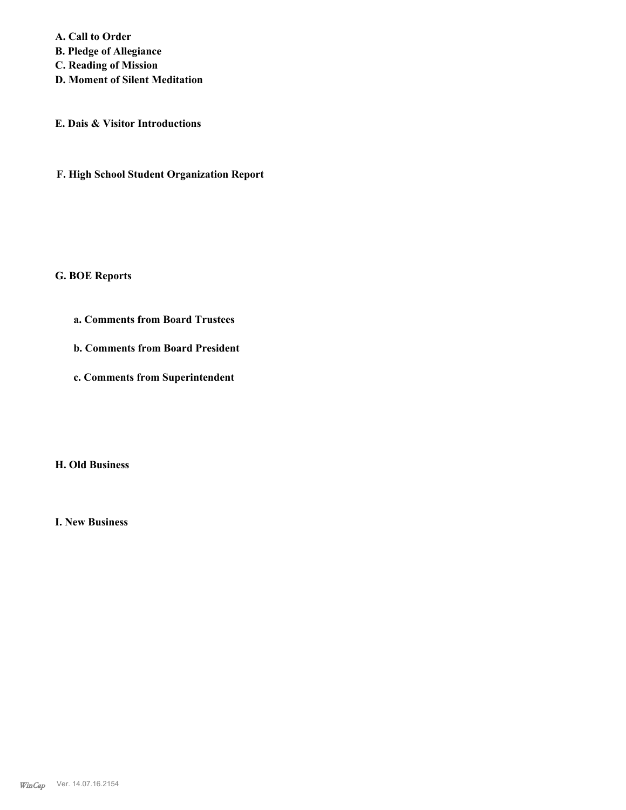**A. Call to Order B. Pledge of Allegiance C. Reading of Mission D. Moment of Silent Meditation**

**E. Dais & Visitor Introductions**

**F. High School Student Organization Report**

**G. BOE Reports**

**a. Comments from Board Trustees**

**b. Comments from Board President**

**c. Comments from Superintendent**

**H. Old Business**

**I. New Business**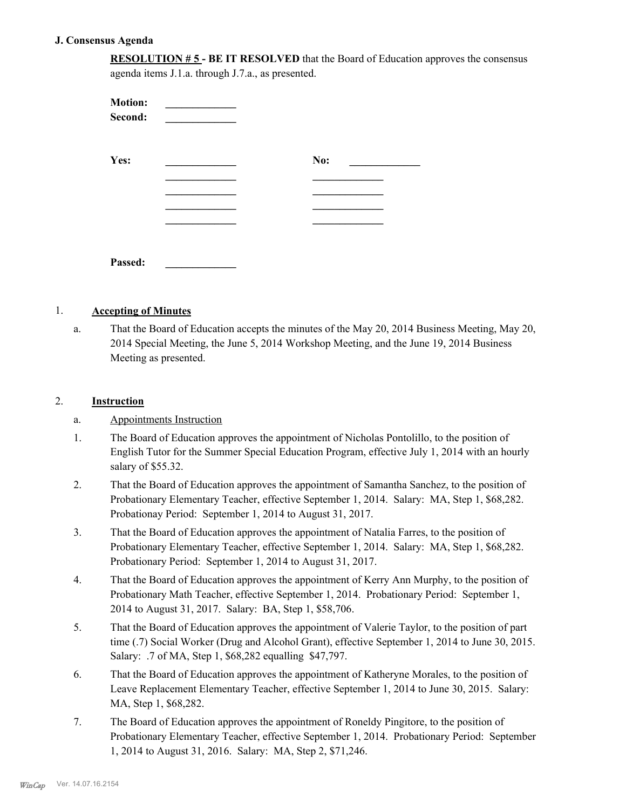### **J. Consensus Agenda**

**RESOLUTION # 5 - BE IT RESOLVED** that the Board of Education approves the consensus agenda items J.1.a. through J.7.a., as presented.

| <b>Motion:</b><br>Second: |     |  |
|---------------------------|-----|--|
| Yes:                      | No: |  |
|                           |     |  |
|                           |     |  |
|                           |     |  |
| Passed:                   |     |  |

#### 1. **Accepting of Minutes**

That the Board of Education accepts the minutes of the May 20, 2014 Business Meeting, May 20, 2014 Special Meeting, the June 5, 2014 Workshop Meeting, and the June 19, 2014 Business Meeting as presented. a.

## 2. **Instruction**

- a. Appointments Instruction
- The Board of Education approves the appointment of Nicholas Pontolillo, to the position of English Tutor for the Summer Special Education Program, effective July 1, 2014 with an hourly salary of \$55.32. 1.
- That the Board of Education approves the appointment of Samantha Sanchez, to the position of Probationary Elementary Teacher, effective September 1, 2014. Salary: MA, Step 1, \$68,282. Probationay Period: September 1, 2014 to August 31, 2017. 2.
- That the Board of Education approves the appointment of Natalia Farres, to the position of Probationary Elementary Teacher, effective September 1, 2014. Salary: MA, Step 1, \$68,282. Probationary Period: September 1, 2014 to August 31, 2017. 3.
- That the Board of Education approves the appointment of Kerry Ann Murphy, to the position of Probationary Math Teacher, effective September 1, 2014. Probationary Period: September 1, 2014 to August 31, 2017. Salary: BA, Step 1, \$58,706. 4.
- That the Board of Education approves the appointment of Valerie Taylor, to the position of part time (.7) Social Worker (Drug and Alcohol Grant), effective September 1, 2014 to June 30, 2015. Salary: .7 of MA, Step 1, \$68,282 equalling \$47,797. 5.
- That the Board of Education approves the appointment of Katheryne Morales, to the position of Leave Replacement Elementary Teacher, effective September 1, 2014 to June 30, 2015. Salary: MA, Step 1, \$68,282. 6.
- The Board of Education approves the appointment of Roneldy Pingitore, to the position of Probationary Elementary Teacher, effective September 1, 2014. Probationary Period: September 1, 2014 to August 31, 2016. Salary: MA, Step 2, \$71,246. 7.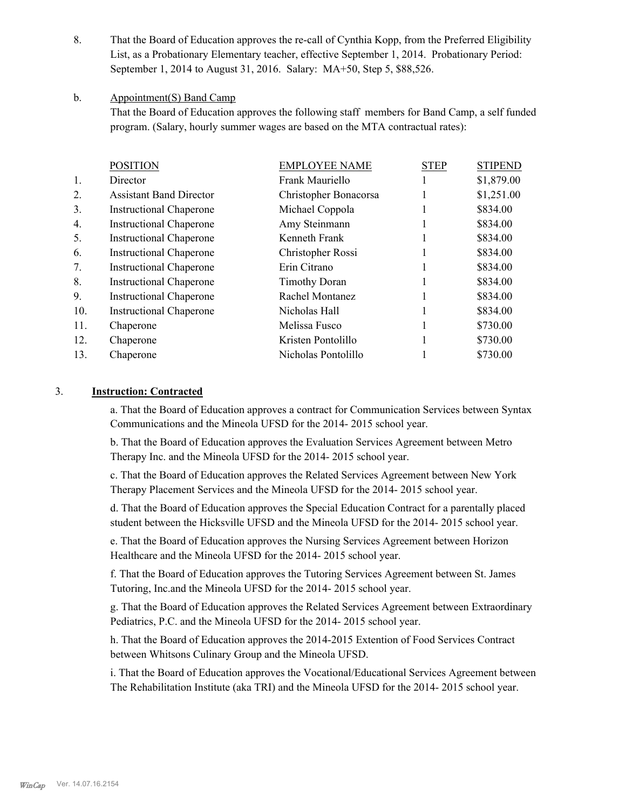That the Board of Education approves the re-call of Cynthia Kopp, from the Preferred Eligibility List, as a Probationary Elementary teacher, effective September 1, 2014. Probationary Period: September 1, 2014 to August 31, 2016. Salary: MA+50, Step 5, \$88,526. 8.

#### Appointment(S) Band Camp b.

That the Board of Education approves the following staff members for Band Camp, a self funded program. (Salary, hourly summer wages are based on the MTA contractual rates):

|                | <b>POSITION</b>                | <b>EMPLOYEE NAME</b>  | <b>STEP</b> | <b>STIPEND</b> |
|----------------|--------------------------------|-----------------------|-------------|----------------|
| 1.             | Director                       | Frank Mauriello       |             | \$1,879.00     |
| 2.             | <b>Assistant Band Director</b> | Christopher Bonacorsa |             | \$1,251.00     |
| 3 <sub>1</sub> | <b>Instructional Chaperone</b> | Michael Coppola       |             | \$834.00       |
| 4.             | <b>Instructional Chaperone</b> | Amy Steinmann         |             | \$834.00       |
| 5.             | <b>Instructional Chaperone</b> | Kenneth Frank         |             | \$834.00       |
| 6.             | <b>Instructional Chaperone</b> | Christopher Rossi     |             | \$834.00       |
| 7.             | <b>Instructional Chaperone</b> | Erin Citrano          |             | \$834.00       |
| 8.             | <b>Instructional Chaperone</b> | <b>Timothy Doran</b>  |             | \$834.00       |
| 9.             | <b>Instructional Chaperone</b> | Rachel Montanez       |             | \$834.00       |
| 10.            | <b>Instructional Chaperone</b> | Nicholas Hall         |             | \$834.00       |
| 11.            | Chaperone                      | Melissa Fusco         | Ш           | \$730.00       |
| 12.            | Chaperone                      | Kristen Pontolillo    |             | \$730.00       |
| 13.            | Chaperone                      | Nicholas Pontolillo   |             | \$730.00       |
|                |                                |                       |             |                |

## 3. **Instruction: Contracted**

a. That the Board of Education approves a contract for Communication Services between Syntax Communications and the Mineola UFSD for the 2014- 2015 school year.

b. That the Board of Education approves the Evaluation Services Agreement between Metro Therapy Inc. and the Mineola UFSD for the 2014- 2015 school year.

c. That the Board of Education approves the Related Services Agreement between New York Therapy Placement Services and the Mineola UFSD for the 2014- 2015 school year.

d. That the Board of Education approves the Special Education Contract for a parentally placed student between the Hicksville UFSD and the Mineola UFSD for the 2014- 2015 school year.

e. That the Board of Education approves the Nursing Services Agreement between Horizon Healthcare and the Mineola UFSD for the 2014- 2015 school year.

f. That the Board of Education approves the Tutoring Services Agreement between St. James Tutoring, Inc.and the Mineola UFSD for the 2014- 2015 school year.

g. That the Board of Education approves the Related Services Agreement between Extraordinary Pediatrics, P.C. and the Mineola UFSD for the 2014- 2015 school year.

h. That the Board of Education approves the 2014-2015 Extention of Food Services Contract between Whitsons Culinary Group and the Mineola UFSD.

i. That the Board of Education approves the Vocational/Educational Services Agreement between The Rehabilitation Institute (aka TRI) and the Mineola UFSD for the 2014- 2015 school year.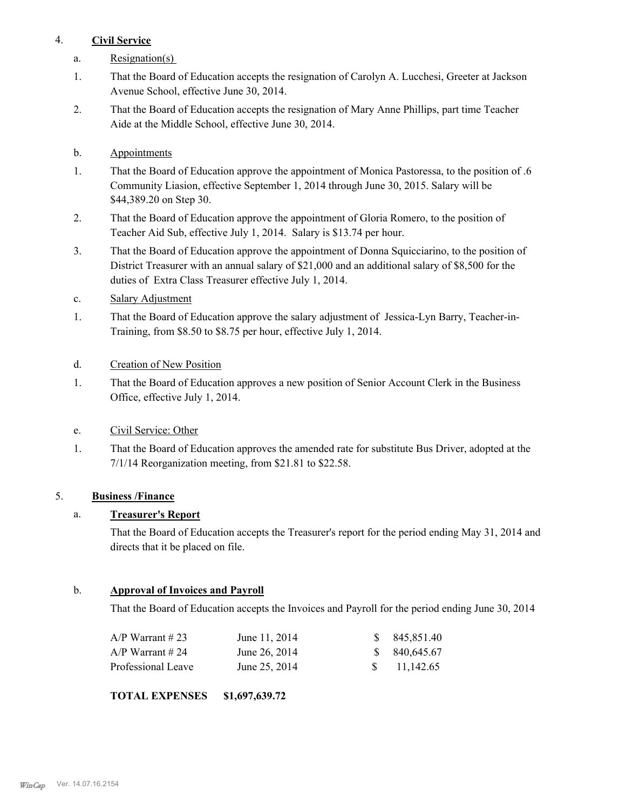## 4. **Civil Service**

- a. Resignation(s)
- That the Board of Education accepts the resignation of Carolyn A. Lucchesi, Greeter at Jackson Avenue School, effective June 30, 2014. 1.
- That the Board of Education accepts the resignation of Mary Anne Phillips, part time Teacher Aide at the Middle School, effective June 30, 2014. 2.
- b. Appointments
- That the Board of Education approve the appointment of Monica Pastoressa, to the position of .6 Community Liasion, effective September 1, 2014 through June 30, 2015. Salary will be \$44,389.20 on Step 30. 1.
- That the Board of Education approve the appointment of Gloria Romero, to the position of Teacher Aid Sub, effective July 1, 2014. Salary is \$13.74 per hour. 2.
- That the Board of Education approve the appointment of Donna Squicciarino, to the position of District Treasurer with an annual salary of \$21,000 and an additional salary of \$8,500 for the duties of Extra Class Treasurer effective July 1, 2014. 3.
- c. Salary Adjustment
- That the Board of Education approve the salary adjustment of Jessica-Lyn Barry, Teacher-in-Training, from \$8.50 to \$8.75 per hour, effective July 1, 2014. 1.
- d. Creation of New Position
- That the Board of Education approves a new position of Senior Account Clerk in the Business Office, effective July 1, 2014. 1.
- e. Civil Service: Other
- That the Board of Education approves the amended rate for substitute Bus Driver, adopted at the 7/1/14 Reorganization meeting, from \$21.81 to \$22.58. 1.

# 5. **Business /Finance**

# a. **Treasurer's Report**

That the Board of Education accepts the Treasurer's report for the period ending May 31, 2014 and directs that it be placed on file.

## b. **Approval of Invoices and Payroll**

That the Board of Education accepts the Invoices and Payroll for the period ending June 30, 2014

| A/P Warrant # 23   | June 11, 2014 | \$845,851.40           |
|--------------------|---------------|------------------------|
| A/P Warrant # 24   | June 26, 2014 | \$840,645.67           |
| Professional Leave | June 25, 2014 | $\frac{\$}{11,142.65}$ |

**TOTAL EXPENSES \$1,697,639.72**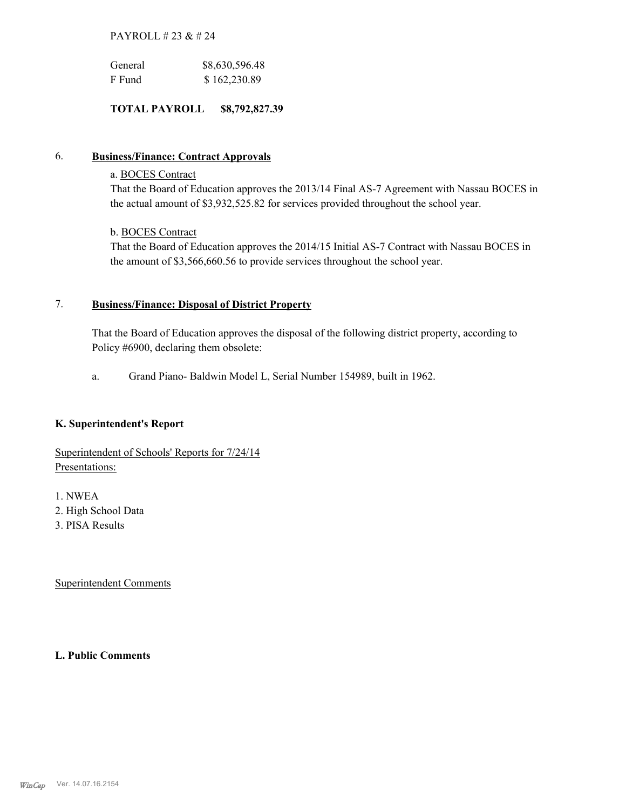## PAYROLL # 23 & # 24

| General | \$8,630,596.48 |
|---------|----------------|
| F Fund  | \$162,230.89   |

## **TOTAL PAYROLL \$8,792,827.39**

## 6. **Business/Finance: Contract Approvals**

## a. BOCES Contract

That the Board of Education approves the 2013/14 Final AS-7 Agreement with Nassau BOCES in the actual amount of \$3,932,525.82 for services provided throughout the school year.

## b. BOCES Contract

That the Board of Education approves the 2014/15 Initial AS-7 Contract with Nassau BOCES in the amount of \$3,566,660.56 to provide services throughout the school year.

#### **Business/Finance: Disposal of District Property** 7.

That the Board of Education approves the disposal of the following district property, according to Policy #6900, declaring them obsolete:

a. Grand Piano- Baldwin Model L, Serial Number 154989, built in 1962.

## **K. Superintendent's Report**

Superintendent of Schools' Reports for 7/24/14 Presentations:

1. NWEA

- 2. High School Data
- 3. PISA Results

Superintendent Comments

**L. Public Comments**